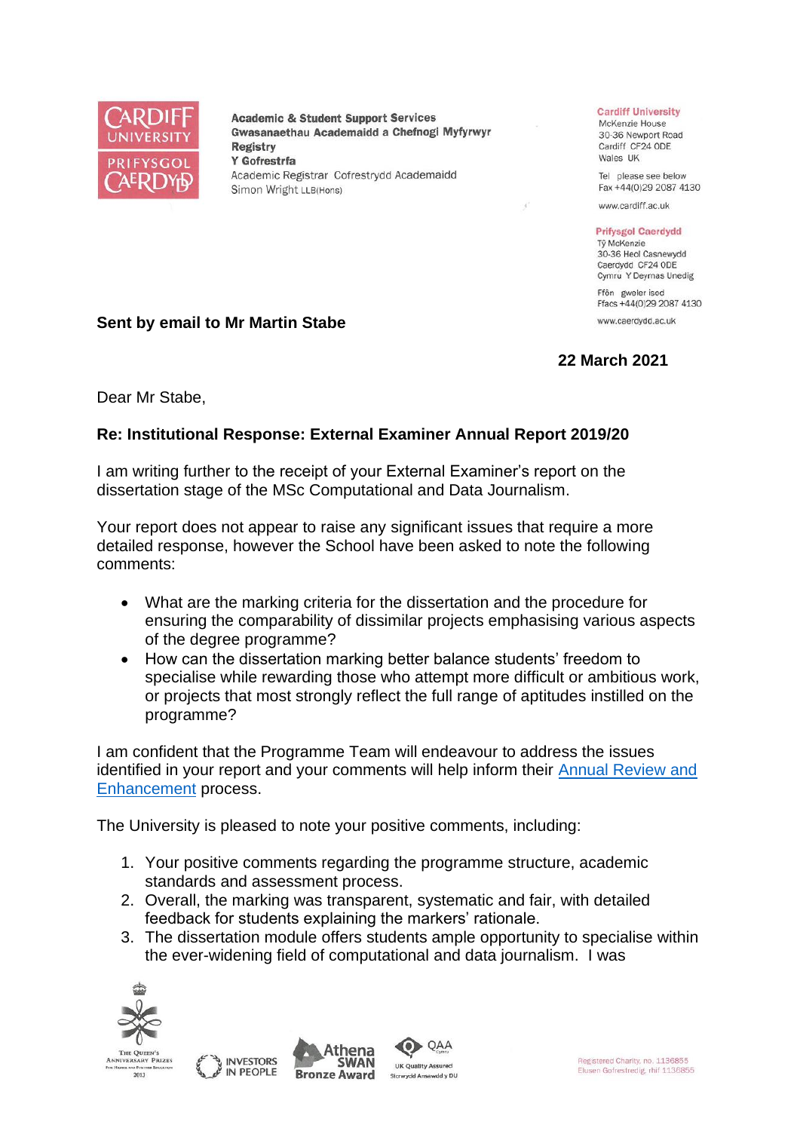

**Academic & Student Support Services** Gwasanaethau Academaidd a Chefnogi Myfyrwyr **Registry** Y Gofrestrfa Academic Registrar Cofrestrydd Academaidd Simon Wright LLB(Hons)

## **Cardiff University**

McKenzie House 30-36 Newport Road Cardiff CF24 ODE Wales UK

Tel please see below Fax +44(0)29 2087 4130

www.cardiff.ac.uk

## **Prifysgol Caerdydd**

Tỷ McKenzie 30-36 Heol Casnewydd Caerdydd CF24 ODE Cymru Y Deyrnas Unedig

Ffôn gweler isod Ffacs +44(0)29 2087 4130 www.caerdydd.ac.uk

**22 March 2021**

**Sent by email to Mr Martin Stabe**

Dear Mr Stabe,

## **Re: Institutional Response: External Examiner Annual Report 2019/20**

I am writing further to the receipt of your External Examiner's report on the dissertation stage of the MSc Computational and Data Journalism.

Your report does not appear to raise any significant issues that require a more detailed response, however the School have been asked to note the following comments:

- What are the marking criteria for the dissertation and the procedure for ensuring the comparability of dissimilar projects emphasising various aspects of the degree programme?
- How can the dissertation marking better balance students' freedom to specialise while rewarding those who attempt more difficult or ambitious work, or projects that most strongly reflect the full range of aptitudes instilled on the programme?

I am confident that the Programme Team will endeavour to address the issues identified in your report and your comments will help inform their [Annual Review and](https://www.cardiff.ac.uk/public-information/quality-and-standards/monitoring-and-review/annual-review-and-enhancement)  [Enhancement](https://www.cardiff.ac.uk/public-information/quality-and-standards/monitoring-and-review/annual-review-and-enhancement) process.

The University is pleased to note your positive comments, including:

- 1. Your positive comments regarding the programme structure, academic standards and assessment process.
- 2. Overall, the marking was transparent, systematic and fair, with detailed feedback for students explaining the markers' rationale.
- 3. The dissertation module offers students ample opportunity to specialise within the ever-widening field of computational and data journalism. I was



2013